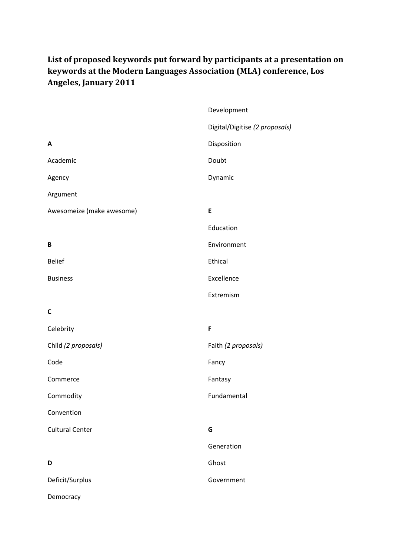## **List of proposed keywords put forward by participants at a presentation on keywords at the Modern Languages Association (MLA) conference, Los Angeles, January 2011**

|                           | Development                    |
|---------------------------|--------------------------------|
|                           | Digital/Digitise (2 proposals) |
| A                         | Disposition                    |
| Academic                  | Doubt                          |
| Agency                    | Dynamic                        |
| Argument                  |                                |
| Awesomeize (make awesome) | E                              |
|                           | Education                      |
| B                         | Environment                    |
| <b>Belief</b>             | Ethical                        |
| <b>Business</b>           | Excellence                     |
|                           | Extremism                      |
| $\mathsf{C}$              |                                |
| Celebrity                 | F                              |
| Child (2 proposals)       | Faith (2 proposals)            |
| Code                      | Fancy                          |
| Commerce                  | Fantasy                        |
| Commodity                 | Fundamental                    |
| Convention                |                                |
| <b>Cultural Center</b>    | G                              |
|                           | Generation                     |
| D                         | Ghost                          |
| Deficit/Surplus           | Government                     |
| Democracy                 |                                |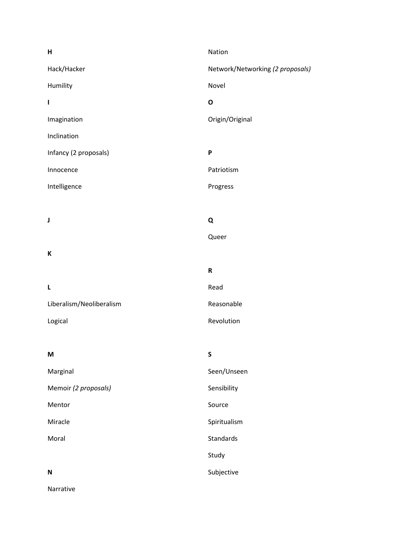| Н                        | Nation                           |
|--------------------------|----------------------------------|
| Hack/Hacker              | Network/Networking (2 proposals) |
| Humility                 | Novel                            |
| I                        | $\mathbf{o}$                     |
| Imagination              | Origin/Original                  |
| Inclination              |                                  |
| Infancy (2 proposals)    | P                                |
| Innocence                | Patriotism                       |
| Intelligence             | Progress                         |
|                          |                                  |
| J                        | Q                                |
|                          | Queer                            |
| К                        |                                  |
|                          | ${\sf R}$                        |
| L                        | Read                             |
| Liberalism/Neoliberalism | Reasonable                       |
| Logical                  | Revolution                       |
|                          |                                  |
| M                        | $\mathsf S$                      |
| Marginal                 | Seen/Unseen                      |
| Memoir (2 proposals)     | Sensibility                      |
| Mentor                   | Source                           |
| Miracle                  | Spiritualism                     |
| Moral                    | Standards                        |
|                          | Study                            |
| $\mathbf N$              | Subjective                       |
| Narrative                |                                  |